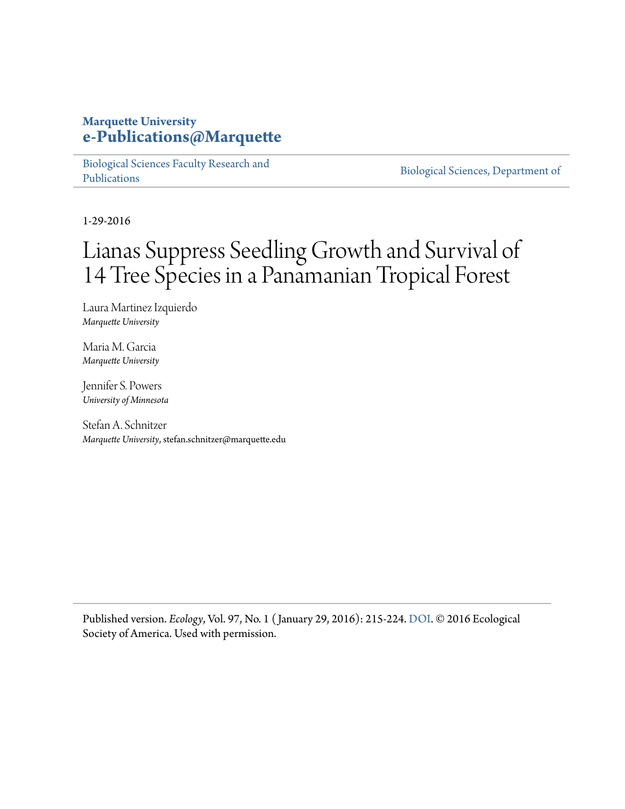# **Marquette University [e-Publications@Marquette](https://epublications.marquette.edu/)**

[Biological Sciences Faculty Research and](https://epublications.marquette.edu/bio_fac) [Publications](https://epublications.marquette.edu/bio_fac)

[Biological Sciences, Department of](https://epublications.marquette.edu/biology)

1-29-2016

# Lianas Suppress Seedling Growth and Survival of 14 Tree Species in a Panamanian Tropical Forest

Laura Martinez Izquierdo *Marquette University*

Maria M. Garcia *Marquette University*

Jennifer S. Powers *University of Minnesota*

Stefan A. Schnitzer *Marquette University*, stefan.schnitzer@marquette.edu

Published version. *Ecology*, Vol. 97, No. 1 ( January 29, 2016): 215-224. DOI. © 2016 Ecological Society of America. Used with permission.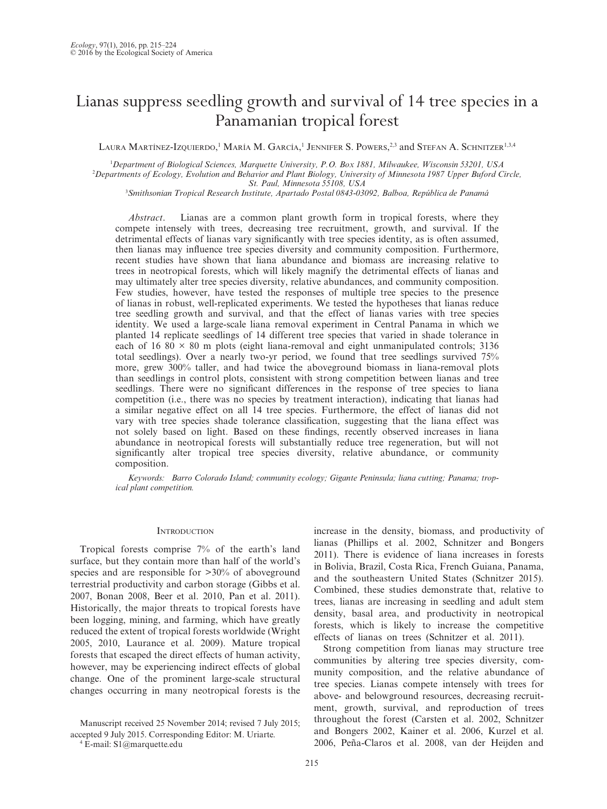# Lianas suppress seedling growth and survival of 14 tree species in a Panamanian tropical forest

LAURA MARTÍNEZ-IZQUIERDO,<sup>1</sup> MARÍA M. GARCÍA,<sup>1</sup> JENNIFER S. POWERS,<sup>2,3</sup> and Stefan A. Schnitzer<sup>1,3,4</sup>

<sup>1</sup>Department of Biological Sciences, Marquette University, P.O. Box 1881, Milwaukee, Wisconsin 53201, USA 2  *Departments of Ecology, Evolution and Behavior and Plant Biology , University of Minnesota 1987 Upper Buford Circle, St. Paul , Minnesota 55108 , USA* 

3  *Smithsonian Tropical Research Institute , Apartado Postal 0843-03092 , Balboa , República de Panamá* 

*Abstract* . Lianas are a common plant growth form in tropical forests, where they compete intensely with trees, decreasing tree recruitment, growth, and survival. If the detrimental effects of lianas vary significantly with tree species identity, as is often assumed, then lianas may influence tree species diversity and community composition. Furthermore, recent studies have shown that liana abundance and biomass are increasing relative to trees in neotropical forests, which will likely magnify the detrimental effects of lianas and may ultimately alter tree species diversity, relative abundances, and community composition. Few studies, however, have tested the responses of multiple tree species to the presence of lianas in robust, well- replicated experiments. We tested the hypotheses that lianas reduce tree seedling growth and survival, and that the effect of lianas varies with tree species identity. We used a large- scale liana removal experiment in Central Panama in which we planted 14 replicate seedlings of 14 different tree species that varied in shade tolerance in each of 16  $80 \times 80$  m plots (eight liana-removal and eight unmanipulated controls; 3136 total seedlings). Over a nearly two-yr period, we found that tree seedlings survived 75% more, grew 300% taller, and had twice the aboveground biomass in liana-removal plots than seedlings in control plots, consistent with strong competition between lianas and tree seedlings. There were no significant differences in the response of tree species to liana competition (i.e., there was no species by treatment interaction), indicating that lianas had a similar negative effect on all 14 tree species. Furthermore, the effect of lianas did not vary with tree species shade tolerance classification, suggesting that the liana effect was not solely based on light. Based on these findings, recently observed increases in liana abundance in neotropical forests will substantially reduce tree regeneration, but will not significantly alter tropical tree species diversity, relative abundance, or community composition.

Keywords: Barro Colorado Island; community ecology; Gigante Peninsula; liana cutting; Panama; trop*ical plant competition.* 

# **INTRODUCTION**

Tropical forests comprise  $7%$  of the earth's land surface, but they contain more than half of the world's species and are responsible for  $>30\%$  of aboveground terrestrial productivity and carbon storage (Gibbs et al. 2007, Bonan 2008, Beer et al. 2010, Pan et al. 2011). Historically, the major threats to tropical forests have been logging, mining, and farming, which have greatly reduced the extent of tropical forests worldwide (Wright 2005, 2010, Laurance et al. 2009). Mature tropical forests that escaped the direct effects of human activity, however, may be experiencing indirect effects of global change. One of the prominent large-scale structural changes occurring in many neotropical forests is the

Manuscript received 25 November 2014; revised 7 July 2015; accepted 9 July 2015. Corresponding Editor: M. Uriarte. 4 E-mail: S1@marquette.edu

increase in the density, biomass, and productivity of lianas (Phillips et al. 2002, Schnitzer and Bongers 2011). There is evidence of liana increases in forests in Bolivia, Brazil, Costa Rica, French Guiana, Panama, and the southeastern United States (Schnitzer 2015). Combined, these studies demonstrate that, relative to trees, lianas are increasing in seedling and adult stem density, basal area, and productivity in neotropical forests, which is likely to increase the competitive effects of lianas on trees (Schnitzer et al. 2011).

 Strong competition from lianas may structure tree communities by altering tree species diversity, community composition, and the relative abundance of tree species. Lianas compete intensely with trees for above-and belowground resources, decreasing recruitment, growth, survival, and reproduction of trees throughout the forest (Carsten et al. 2002, Schnitzer and Bongers 2002, Kainer et al. 2006, Kurzel et al. 2006, Peña-Claros et al. 2008, van der Heijden and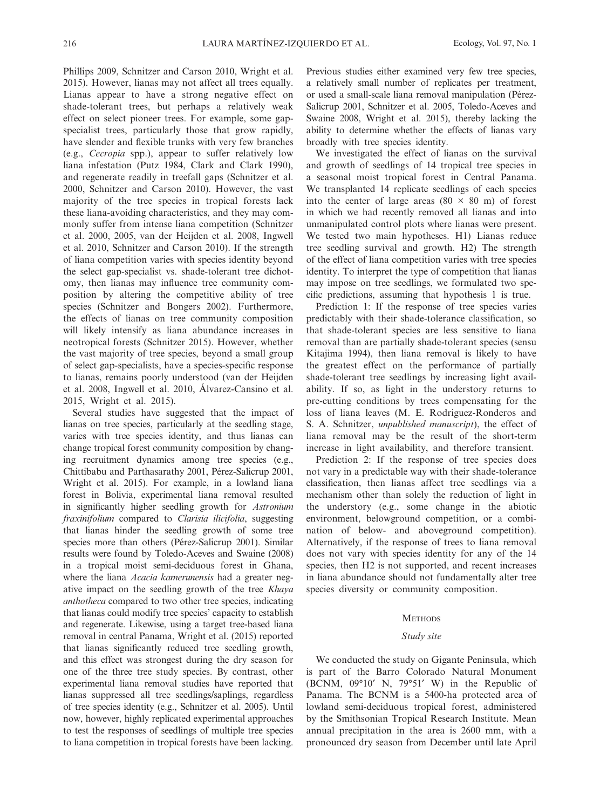Phillips 2009, Schnitzer and Carson 2010, Wright et al. 2015 ). However, lianas may not affect all trees equally. Lianas appear to have a strong negative effect on shade- tolerant trees, but perhaps a relatively weak effect on select pioneer trees. For example, some gapspecialist trees, particularly those that grow rapidly, have slender and flexible trunks with very few branches (e.g., *Cecropia* spp.), appear to suffer relatively low liana infestation (Putz 1984, Clark and Clark 1990), and regenerate readily in treefall gaps (Schnitzer et al. 2000, Schnitzer and Carson 2010). However, the vast majority of the tree species in tropical forests lack these liana- avoiding characteristics, and they may commonly suffer from intense liana competition (Schnitzer et al. 2000, 2005, van der Heijden et al. 2008, Ingwell et al. 2010, Schnitzer and Carson 2010). If the strength of liana competition varies with species identity beyond the select gap-specialist vs. shade-tolerant tree dichotomy, then lianas may influence tree community composition by altering the competitive ability of tree species (Schnitzer and Bongers 2002). Furthermore, the effects of lianas on tree community composition will likely intensify as liana abundance increases in neotropical forests (Schnitzer 2015). However, whether the vast majority of tree species, beyond a small group of select gap-specialists, have a species-specific response to lianas, remains poorly understood (van der Heijden et al. 2008, Ingwell et al. 2010, Álvarez-Cansino et al. 2015, Wright et al. 2015).

 Several studies have suggested that the impact of lianas on tree species, particularly at the seedling stage, varies with tree species identity, and thus lianas can change tropical forest community composition by changing recruitment dynamics among tree species (e.g., Chittibabu and Parthasarathy 2001, Pérez-Salicrup 2001, Wright et al. 2015). For example, in a lowland liana forest in Bolivia, experimental liana removal resulted in significantly higher seedling growth for *Astronium fraxinifolium* compared to *Clarisia ilicifolia*, suggesting that lianas hinder the seedling growth of some tree species more than others (Pérez-Salicrup 2001). Similar results were found by Toledo-Aceves and Swaine (2008) in a tropical moist semi- deciduous forest in Ghana, where the liana *Acacia kamerunensis* had a greater negative impact on the seedling growth of the tree *Khaya anthotheca* compared to two other tree species, indicating that lianas could modify tree species' capacity to establish and regenerate. Likewise, using a target tree- based liana removal in central Panama, Wright et al. (2015) reported that lianas significantly reduced tree seedling growth, and this effect was strongest during the dry season for one of the three tree study species. By contrast, other experimental liana removal studies have reported that lianas suppressed all tree seedlings/saplings, regardless of tree species identity (e.g., Schnitzer et al. 2005). Until now, however, highly replicated experimental approaches to test the responses of seedlings of multiple tree species to liana competition in tropical forests have been lacking.

Previous studies either examined very few tree species, a relatively small number of replicates per treatment, or used a small- scale liana removal manipulation (Pérez-Salicrup 2001, Schnitzer et al. 2005, Toledo-Aceves and Swaine 2008, Wright et al. 2015), thereby lacking the ability to determine whether the effects of lianas vary broadly with tree species identity.

 We investigated the effect of lianas on the survival and growth of seedlings of 14 tropical tree species in a seasonal moist tropical forest in Central Panama. We transplanted 14 replicate seedlings of each species into the center of large areas (80  $\times$  80 m) of forest in which we had recently removed all lianas and into unmanipulated control plots where lianas were present. We tested two main hypotheses. H1) Lianas reduce tree seedling survival and growth. H2) The strength of the effect of liana competition varies with tree species identity. To interpret the type of competition that lianas may impose on tree seedlings, we formulated two specific predictions, assuming that hypothesis 1 is true.

 Prediction 1: If the response of tree species varies predictably with their shade-tolerance classification, so that shade- tolerant species are less sensitive to liana removal than are partially shade- tolerant species (sensu Kitajima 1994), then liana removal is likely to have the greatest effect on the performance of partially shade- tolerant tree seedlings by increasing light availability. If so, as light in the understory returns to pre- cutting conditions by trees compensating for the loss of liana leaves (M. E. Rodriguez-Ronderos and S. A. Schnitzer, *unpublished manuscript*), the effect of liana removal may be the result of the short-term increase in light availability, and therefore transient.

 Prediction 2: If the response of tree species does not vary in a predictable way with their shade-tolerance classification, then lianas affect tree seedlings via a mechanism other than solely the reduction of light in the understory (e.g., some change in the abiotic environment, belowground competition, or a combination of below- and aboveground competition). Alternatively, if the response of trees to liana removal does not vary with species identity for any of the 14 species, then H2 is not supported, and recent increases in liana abundance should not fundamentally alter tree species diversity or community composition.

#### **METHODS**

# *Study site*

 We conducted the study on Gigante Peninsula, which is part of the Barro Colorado Natural Monument (BCNM, 09°10′ N, 79°51′ W) in the Republic of Panama. The BCNM is a 5400-ha protected area of lowland semi- deciduous tropical forest, administered by the Smithsonian Tropical Research Institute. Mean annual precipitation in the area is 2600 mm, with a pronounced dry season from December until late April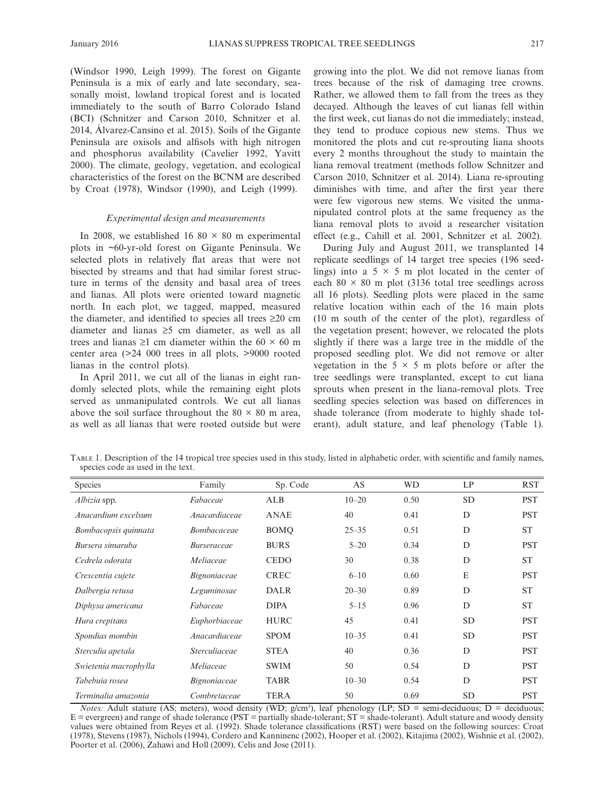(Windsor 1990, Leigh 1999). The forest on Gigante Peninsula is a mix of early and late secondary, seasonally moist, lowland tropical forest and is located immediately to the south of Barro Colorado Island (BCI) (Schnitzer and Carson 2010, Schnitzer et al. 2014, Álvarez-Cansino et al. 2015). Soils of the Gigante Peninsula are oxisols and alfisols with high nitrogen and phosphorus availability (Cavelier 1992, Yavitt 2000). The climate, geology, vegetation, and ecological characteristics of the forest on the BCNM are described by Croat (1978), Windsor (1990), and Leigh (1999).

#### *Experimental design and measurements*

In 2008, we established 16 80  $\times$  80 m experimental plots in ~60- yr- old forest on Gigante Peninsula. We selected plots in relatively flat areas that were not bisected by streams and that had similar forest structure in terms of the density and basal area of trees and lianas. All plots were oriented toward magnetic north. In each plot, we tagged, mapped, measured the diameter, and identified to species all trees  $\geq 20$  cm diameter and lianas ≥5 cm diameter, as well as all trees and lianas ≥1 cm diameter within the  $60 \times 60$  m center area (>24 000 trees in all plots, >9000 rooted lianas in the control plots).

 In April 2011, we cut all of the lianas in eight randomly selected plots, while the remaining eight plots served as unmanipulated controls. We cut all lianas above the soil surface throughout the  $80 \times 80$  m area, as well as all lianas that were rooted outside but were growing into the plot. We did not remove lianas from trees because of the risk of damaging tree crowns. Rather, we allowed them to fall from the trees as they decayed. Although the leaves of cut lianas fell within the first week, cut lianas do not die immediately; instead, they tend to produce copious new stems. Thus we monitored the plots and cut re-sprouting liana shoots every 2 months throughout the study to maintain the liana removal treatment (methods follow Schnitzer and Carson 2010, Schnitzer et al. 2014). Liana re-sprouting diminishes with time, and after the first year there were few vigorous new stems. We visited the unmanipulated control plots at the same frequency as the liana removal plots to avoid a researcher visitation effect (e.g., Cahill et al. 2001, Schnitzer et al. 2002).

 During July and August 2011, we transplanted 14 replicate seedlings of 14 target tree species (196 seedlings) into a  $5 \times 5$  m plot located in the center of each  $80 \times 80$  m plot (3136 total tree seedlings across all 16 plots). Seedling plots were placed in the same relative location within each of the 16 main plots (10 m south of the center of the plot), regardless of the vegetation present; however, we relocated the plots slightly if there was a large tree in the middle of the proposed seedling plot. We did not remove or alter vegetation in the  $5 \times 5$  m plots before or after the tree seedlings were transplanted, except to cut liana sprouts when present in the liana-removal plots. Tree seedling species selection was based on differences in shade tolerance (from moderate to highly shade tolerant), adult stature, and leaf phenology (Table 1).

| TABLE 1. Description of the 14 tropical tree species used in this study, listed in alphabetic order, with scientific and family names, |  |  |
|----------------------------------------------------------------------------------------------------------------------------------------|--|--|
| species code as used in the text.                                                                                                      |  |  |

| <b>Species</b>        | Family                             | Sp. Code    | AS        | <b>WD</b> | LP        | <b>RST</b> |
|-----------------------|------------------------------------|-------------|-----------|-----------|-----------|------------|
| Albizia spp.          | Fabaceae                           | ALB         | $10 - 20$ | 0.50      | <b>SD</b> | <b>PST</b> |
| Anacardium excelsum   | Anacardiaceae                      | ANAE        | 40        | 0.41      | D         | <b>PST</b> |
| Bombacopsis quinnata  | <b>Bombacaceae</b>                 | <b>BOMO</b> | $25 - 35$ | 0.51      | D         | <b>ST</b>  |
| Bursera simaruba      | <i>Burseraceae</i>                 | <b>BURS</b> | $5 - 20$  | 0.34      | D         | <b>PST</b> |
| Cedrela odorata       | Meliaceae                          | <b>CEDO</b> | 30        | 0.38      | D         | <b>ST</b>  |
| Crescentia cujete     | Bignoniaceae                       | <b>CREC</b> | $6 - 10$  | 0.60      | E         | <b>PST</b> |
| Dalbergia retusa      | Leguminosae                        | <b>DALR</b> | $20 - 30$ | 0.89      | D         | <b>ST</b>  |
| Diphysa americana     | Fabaceae                           | <b>DIPA</b> | $5 - 15$  | 0.96      | D         | <b>ST</b>  |
| Hura crepitans        | Euphorbiaceae                      | <b>HURC</b> | 45        | 0.41      | <b>SD</b> | <b>PST</b> |
| Spondias mombin       | Anacardiaceae                      | <b>SPOM</b> | $10 - 35$ | 0.41      | <b>SD</b> | <b>PST</b> |
| Sterculia apetala     | <i><u><b>Sterculiaceae</b></u></i> | <b>STEA</b> | 40        | 0.36      | D         | <b>PST</b> |
| Swietenia macrophylla | Meliaceae                          | <b>SWIM</b> | 50        | 0.54      | D         | <b>PST</b> |
| Tabebuia rosea        | <i>Bignoniaceae</i>                | <b>TABR</b> | $10 - 30$ | 0.54      | D         | <b>PST</b> |
| Terminalia amazonia   | Combretaceae                       | <b>TERA</b> | 50        | 0.69      | <b>SD</b> | <b>PST</b> |

*Notes:* Adult stature (AS; meters), wood density (WD; g/cm<sup>3</sup>), leaf phenology (LP; SD = semi-deciduous; D = deciduous;  $E =$  evergreen) and range of shade tolerance (PST = partially shade-tolerant;  $ST =$  shade-tolerant). Adult stature and woody density values were obtained from Reyes et al. (1992). Shade tolerance classifications (RST) were based on the following sources: Croat (1978), Stevens (1987), Nichols (1994), Cordero and Kanninenc (2002), Hooper et al. (2002), Kitajima (2002), Wishnie et al. (2002), Poorter et al. (2006), Zahawi and Holl (2009), Celis and Jose (2011).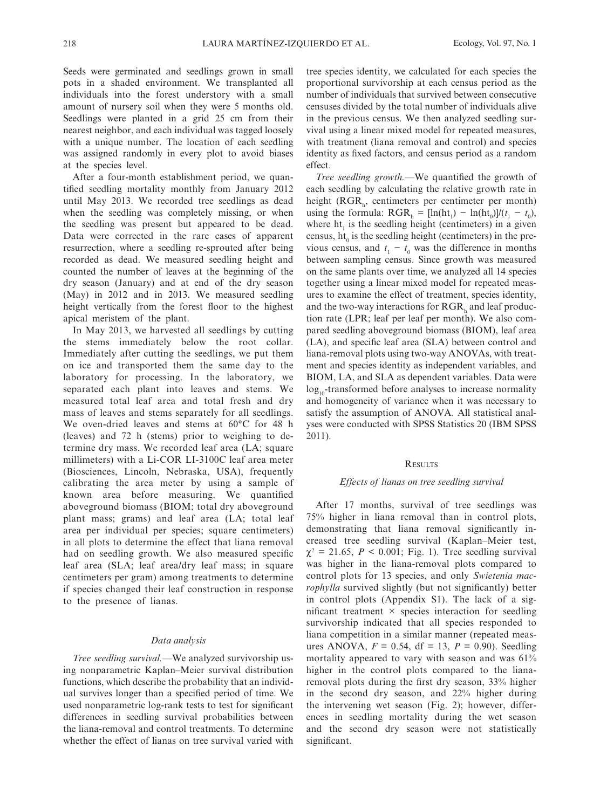Seeds were germinated and seedlings grown in small pots in a shaded environment. We transplanted all individuals into the forest understory with a small amount of nursery soil when they were 5 months old. Seedlings were planted in a grid 25 cm from their nearest neighbor, and each individual was tagged loosely with a unique number. The location of each seedling was assigned randomly in every plot to avoid biases at the species level.

After a four-month establishment period, we quantified seedling mortality monthly from January 2012 until May 2013. We recorded tree seedlings as dead when the seedling was completely missing, or when the seedling was present but appeared to be dead. Data were corrected in the rare cases of apparent resurrection, where a seedling re- sprouted after being recorded as dead. We measured seedling height and counted the number of leaves at the beginning of the dry season (January) and at end of the dry season (May) in 2012 and in 2013. We measured seedling height vertically from the forest floor to the highest apical meristem of the plant.

 In May 2013, we harvested all seedlings by cutting the stems immediately below the root collar. Immediately after cutting the seedlings, we put them on ice and transported them the same day to the laboratory for processing. In the laboratory, we separated each plant into leaves and stems. We measured total leaf area and total fresh and dry mass of leaves and stems separately for all seedlings. We oven-dried leaves and stems at 60°C for 48 h (leaves) and 72 h (stems) prior to weighing to determine dry mass. We recorded leaf area (LA; square millimeters) with a Li-COR LI-3100C leaf area meter (Biosciences, Lincoln, Nebraska, USA), frequently calibrating the area meter by using a sample of known area before measuring. We quantified aboveground biomass (BIOM; total dry aboveground plant mass; grams) and leaf area (LA; total leaf area per individual per species; square centimeters) in all plots to determine the effect that liana removal had on seedling growth. We also measured specific leaf area (SLA; leaf area/dry leaf mass; in square centimeters per gram) among treatments to determine if species changed their leaf construction in response to the presence of lianas.

# *Data analysis*

 *Tree seedling survival .—* We analyzed survivorship using nonparametric Kaplan–Meier survival distribution functions, which describe the probability that an individual survives longer than a specified period of time. We used nonparametric log-rank tests to test for significant differences in seedling survival probabilities between the liana- removal and control treatments. To determine whether the effect of lianas on tree survival varied with tree species identity, we calculated for each species the proportional survivorship at each census period as the number of individuals that survived between consecutive censuses divided by the total number of individuals alive in the previous census. We then analyzed seedling survival using a linear mixed model for repeated measures, with treatment (liana removal and control) and species identity as fixed factors, and census period as a random effect.

*Tree seedling growth.*—We quantified the growth of each seedling by calculating the relative growth rate in height  $(RGR<sub>h</sub>,$  centimeters per centimeter per month) using the formula:  $RGR_{h} = [\ln(ht_{1}) - \ln(ht_{0})]/(t_{1} - t_{0}),$ where ht, is the seedling height (centimeters) in a given census,  $ht_0$  is the seedling height (centimeters) in the previous census, and  $t_1 - t_0$  was the difference in months between sampling census. Since growth was measured on the same plants over time, we analyzed all 14 species together using a linear mixed model for repeated measures to examine the effect of treatment, species identity, and the two-way interactions for  $RGR<sub>k</sub>$  and leaf production rate (LPR; leaf per leaf per month). We also compared seedling aboveground biomass (BIOM), leaf area (LA), and specific leaf area (SLA) between control and liana- removal plots using two- way ANOVAs, with treatment and species identity as independent variables, and BIOM, LA, and SLA as dependent variables. Data were  $log_{10}$ -transformed before analyses to increase normality and homogeneity of variance when it was necessary to satisfy the assumption of ANOVA. All statistical analyses were conducted with SPSS Statistics 20 (IBM SPSS  $2011$ .

# **RESULTS**

#### *Effects of lianas on tree seedling survival*

 After 17 months, survival of tree seedlings was 75% higher in liana removal than in control plots, demonstrating that liana removal significantly increased tree seedling survival (Kaplan–Meier test,  $\gamma^2$  = 21.65, *P* < 0.001; Fig. 1). Tree seedling survival was higher in the liana-removal plots compared to control plots for 13 species, and only *Swietenia macrophylla* survived slightly (but not significantly) better in control plots (Appendix S1). The lack of a significant treatment  $\times$  species interaction for seedling survivorship indicated that all species responded to liana competition in a similar manner (repeated measures ANOVA,  $F = 0.54$ , df = 13,  $P = 0.90$ ). Seedling mortality appeared to vary with season and was 61% higher in the control plots compared to the lianaremoval plots during the first dry season, 33% higher in the second dry season, and 22% higher during the intervening wet season (Fig. 2); however, differences in seedling mortality during the wet season and the second dry season were not statistically significant.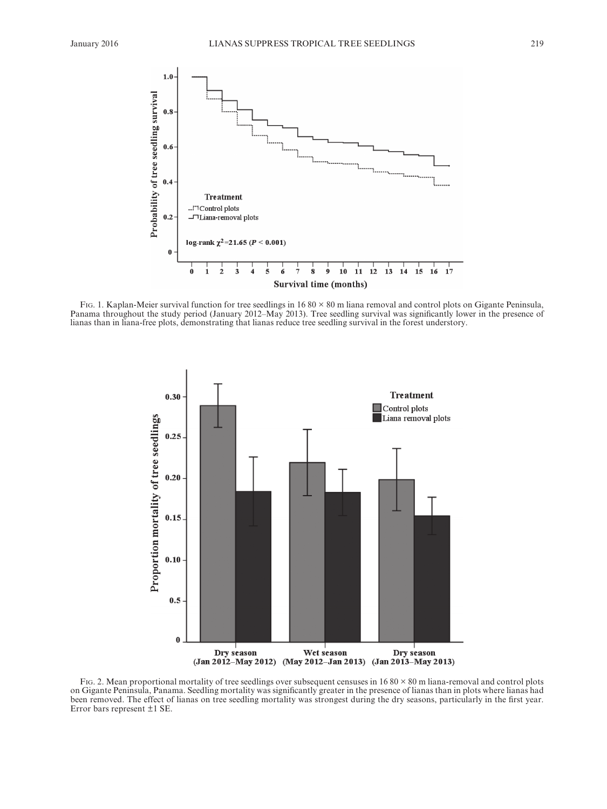

FIG. 1. Kaplan-Meier survival function for tree seedlings in 16 80  $\times$  80 m liana removal and control plots on Gigante Peninsula, Panama throughout the study period (January 2012–May 2013). Tree seedling survival was significantly lower in the presence of lianas than in liana- free plots, demonstrating that lianas reduce tree seedling survival in the forest understory.



FIG. 2. Mean proportional mortality of tree seedlings over subsequent censuses in 16 80  $\times$  80 m liana-removal and control plots on Gigante Peninsula, Panama. Seedling mortality was significantly greater in the presence of lianas than in plots where lianas had been removed. The effect of lianas on tree seedling mortality was strongest during the dry seasons, particularly in the first year. Error bars represent ±1 SE.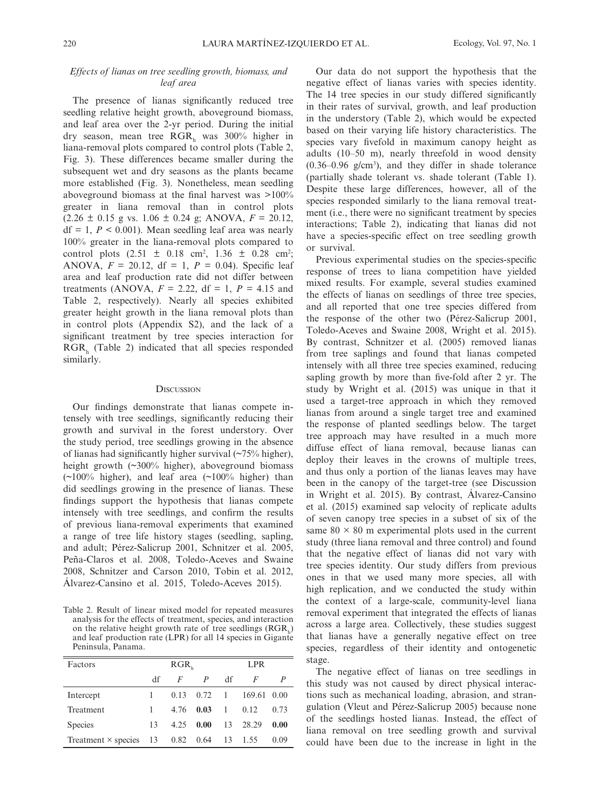# *Effects of lianas on tree seedling growth, biomass, and leaf area*

The presence of lianas significantly reduced tree seedling relative height growth, aboveground biomass, and leaf area over the 2-yr period. During the initial dry season, mean tree  $RGR<sub>h</sub>$  was 300% higher in liana-removal plots compared to control plots (Table 2, Fig. 3). These differences became smaller during the subsequent wet and dry seasons as the plants became more established (Fig. 3). Nonetheless, mean seedling aboveground biomass at the final harvest was  $>100\%$ greater in liana removal than in control plots  $(2.26 \pm 0.15 \text{ g} \text{ vs. } 1.06 \pm 0.24 \text{ g}$ ; ANOVA,  $F = 20.12$ ,  $df = 1$ ,  $P < 0.001$ ). Mean seedling leaf area was nearly 100% greater in the liana-removal plots compared to control plots  $(2.51 \pm 0.18 \text{ cm}^2, 1.36 \pm 0.28 \text{ cm}^2)$ ; ANOVA,  $F = 20.12$ , df = 1,  $P = 0.04$ ). Specific leaf area and leaf production rate did not differ between treatments (ANOVA,  $F = 2.22$ , df = 1,  $P = 4.15$  and Table 2, respectively). Nearly all species exhibited greater height growth in the liana removal plots than in control plots (Appendix S2), and the lack of a significant treatment by tree species interaction for  $RGR_{h}$  (Table 2) indicated that all species responded similarly.

# **DISCUSSION**

Our findings demonstrate that lianas compete intensely with tree seedlings, significantly reducing their growth and survival in the forest understory. Over the study period, tree seedlings growing in the absence of lianas had significantly higher survival  $(\sim 75\%$  higher), height growth (~300% higher), aboveground biomass  $(\sim 100\%$  higher), and leaf area  $(\sim 100\%$  higher) than did seedlings growing in the presence of lianas. These findings support the hypothesis that lianas compete intensely with tree seedlings, and confirm the results of previous liana- removal experiments that examined a range of tree life history stages (seedling, sapling, and adult; Pérez-Salicrup 2001, Schnitzer et al. 2005, Peña-Claros et al. 2008, Toledo-Aceves and Swaine 2008, Schnitzer and Carson 2010, Tobin et al. 2012, Álvarez-Cansino et al. 2015, Toledo-Aceves 2015).

Table 2. Result of linear mixed model for repeated measures analysis for the effects of treatment, species, and interaction on the relative height growth rate of tree seedlings  $(RGR_1)$ and leaf production rate (LPR) for all 14 species in Gigante Peninsula, Panama.

| Factors                       | RGR |      |                   | <b>LPR</b>     |                                 |      |
|-------------------------------|-----|------|-------------------|----------------|---------------------------------|------|
|                               | df  | F    | $\boldsymbol{P}$  | df             | F                               | P    |
| Intercept                     |     |      |                   |                | $0.13$ $0.72$ 1 $169.61$ $0.00$ |      |
| Treatment                     |     | 4.76 | 0.03              | $\overline{1}$ | 0.12                            | 0.73 |
| Species                       | 13  | 4.25 | 0.00              | 13             | 28.29                           | 0.00 |
| Treatment $\times$ species 13 |     |      | $0.82 \quad 0.64$ |                | 13 1.55                         | 0.09 |

 Our data do not support the hypothesis that the negative effect of lianas varies with species identity. The 14 tree species in our study differed significantly in their rates of survival, growth, and leaf production in the understory  $(Table 2)$ , which would be expected based on their varying life history characteristics. The species vary fivefold in maximum canopy height as adults (10–50 m), nearly threefold in wood density  $(0.36-0.96 \text{ g/cm}^3)$ , and they differ in shade tolerance (partially shade tolerant vs. shade tolerant (Table 1). Despite these large differences, however, all of the species responded similarly to the liana removal treatment (i.e., there were no significant treatment by species interactions; Table 2), indicating that lianas did not have a species-specific effect on tree seedling growth or survival.

Previous experimental studies on the species-specific response of trees to liana competition have yielded mixed results. For example, several studies examined the effects of lianas on seedlings of three tree species, and all reported that one tree species differed from the response of the other two (Pérez-Salicrup 2001, Toledo-Aceves and Swaine 2008, Wright et al. 2015). By contrast, Schnitzer et al. (2005) removed lianas from tree saplings and found that lianas competed intensely with all three tree species examined, reducing sapling growth by more than five-fold after 2 yr. The study by Wright et al. (2015) was unique in that it used a target-tree approach in which they removed lianas from around a single target tree and examined the response of planted seedlings below. The target tree approach may have resulted in a much more diffuse effect of liana removal, because lianas can deploy their leaves in the crowns of multiple trees, and thus only a portion of the lianas leaves may have been in the canopy of the target-tree (see Discussion in Wright et al. 2015). By contrast, Álvarez-Cansino et al. (2015) examined sap velocity of replicate adults of seven canopy tree species in a subset of six of the same  $80 \times 80$  m experimental plots used in the current study (three liana removal and three control) and found that the negative effect of lianas did not vary with tree species identity. Our study differs from previous ones in that we used many more species, all with high replication, and we conducted the study within the context of a large-scale, community-level liana removal experiment that integrated the effects of lianas across a large area. Collectively, these studies suggest that lianas have a generally negative effect on tree species, regardless of their identity and ontogenetic stage.

 The negative effect of lianas on tree seedlings in this study was not caused by direct physical interactions such as mechanical loading, abrasion, and strangulation (Vleut and Pérez-Salicrup 2005) because none of the seedlings hosted lianas. Instead, the effect of liana removal on tree seedling growth and survival could have been due to the increase in light in the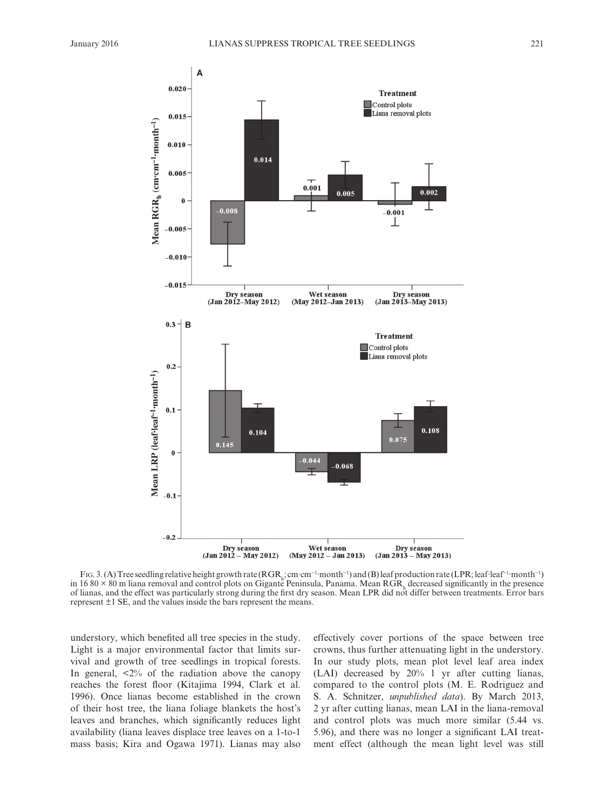

FIG. 3. (A) Tree seedling relative height growth rate (RGR h; cm·cm<sup>-1</sup>·month<sup>-1</sup>) and (B) leaf production rate (LPR; leaf·leaf<sup>-1</sup>·month<sup>-1</sup>) in 16 80  $\times$  80 m liana removal and control plots on Gigante Peninsula, Panama. Mean RGR<sub>h</sub> decreased significantly in the presence of lianas, and the effect was particularly strong during the first dry season. Mean LPR did not differ between treatments. Error bars represent ±1 SE, and the values inside the bars represent the means.

understory, which benefited all tree species in the study. Light is a major environmental factor that limits survival and growth of tree seedlings in tropical forests. In general,  $\langle 2\%$  of the radiation above the canopy reaches the forest floor (Kitajima 1994, Clark et al. 1996). Once lianas become established in the crown of their host tree, the liana foliage blankets the host's leaves and branches, which significantly reduces light availability (liana leaves displace tree leaves on a 1-to-1 mass basis; Kira and Ogawa 1971). Lianas may also effectively cover portions of the space between tree crowns, thus further attenuating light in the understory. In our study plots, mean plot level leaf area index (LAI) decreased by 20% 1 yr after cutting lianas, compared to the control plots (M. E. Rodriguez and S. A. Schnitzer, *unpublished data* ). By March 2013, 2 yr after cutting lianas, mean LAI in the liana- removal and control plots was much more similar (5.44 vs. 5.96), and there was no longer a significant LAI treatment effect (although the mean light level was still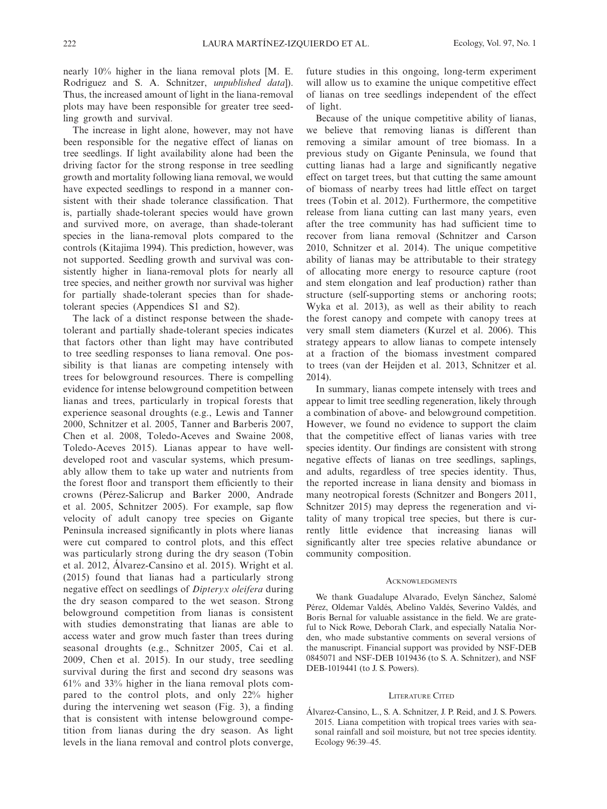nearly 10% higher in the liana removal plots [M. E. Rodriguez and S. A. Schnitzer, *unpublished data* ]). Thus, the increased amount of light in the liana-removal plots may have been responsible for greater tree seedling growth and survival.

 The increase in light alone, however, may not have been responsible for the negative effect of lianas on tree seedlings. If light availability alone had been the driving factor for the strong response in tree seedling growth and mortality following liana removal, we would have expected seedlings to respond in a manner consistent with their shade tolerance classification. That is, partially shade-tolerant species would have grown and survived more, on average, than shade-tolerant species in the liana-removal plots compared to the controls (Kitajima 1994). This prediction, however, was not supported. Seedling growth and survival was consistently higher in liana-removal plots for nearly all tree species, and neither growth nor survival was higher for partially shade- tolerant species than for shadetolerant species (Appendices S1 and S2).

 The lack of a distinct response between the shadetolerant and partially shade- tolerant species indicates that factors other than light may have contributed to tree seedling responses to liana removal. One possibility is that lianas are competing intensely with trees for belowground resources. There is compelling evidence for intense belowground competition between lianas and trees, particularly in tropical forests that experience seasonal droughts (e.g., Lewis and Tanner 2000, Schnitzer et al. 2005, Tanner and Barberis 2007, Chen et al. 2008, Toledo-Aceves and Swaine 2008, Toledo-Aceves 2015). Lianas appear to have welldeveloped root and vascular systems, which presumably allow them to take up water and nutrients from the forest floor and transport them efficiently to their crowns (Pérez-Salicrup and Barker 2000, Andrade et al. 2005, Schnitzer 2005). For example, sap flow velocity of adult canopy tree species on Gigante Peninsula increased significantly in plots where lianas were cut compared to control plots, and this effect was particularly strong during the dry season (Tobin et al. 2012, Álvarez-Cansino et al. 2015). Wright et al. ( 2015 ) found that lianas had a particularly strong negative effect on seedlings of *Dipteryx oleifera* during the dry season compared to the wet season. Strong belowground competition from lianas is consistent with studies demonstrating that lianas are able to access water and grow much faster than trees during seasonal droughts (e.g., Schnitzer 2005, Cai et al. 2009, Chen et al. 2015). In our study, tree seedling survival during the first and second dry seasons was 61% and 33% higher in the liana removal plots compared to the control plots, and only 22% higher during the intervening wet season (Fig. 3), a finding that is consistent with intense belowground competition from lianas during the dry season. As light levels in the liana removal and control plots converge, future studies in this ongoing, long-term experiment will allow us to examine the unique competitive effect of lianas on tree seedlings independent of the effect of light.

 Because of the unique competitive ability of lianas, we believe that removing lianas is different than removing a similar amount of tree biomass. In a previous study on Gigante Peninsula, we found that cutting lianas had a large and significantly negative effect on target trees, but that cutting the same amount of biomass of nearby trees had little effect on target trees (Tobin et al. 2012). Furthermore, the competitive release from liana cutting can last many years, even after the tree community has had sufficient time to recover from liana removal (Schnitzer and Carson 2010, Schnitzer et al. 2014). The unique competitive ability of lianas may be attributable to their strategy of allocating more energy to resource capture (root and stem elongation and leaf production) rather than structure (self-supporting stems or anchoring roots; Wyka et al. 2013), as well as their ability to reach the forest canopy and compete with canopy trees at very small stem diameters (Kurzel et al. 2006). This strategy appears to allow lianas to compete intensely at a fraction of the biomass investment compared to trees (van der Heijden et al. 2013, Schnitzer et al.  $2014$ .

 In summary, lianas compete intensely with trees and appear to limit tree seedling regeneration, likely through a combination of above- and belowground competition. However, we found no evidence to support the claim that the competitive effect of lianas varies with tree species identity. Our findings are consistent with strong negative effects of lianas on tree seedlings, saplings, and adults, regardless of tree species identity. Thus, the reported increase in liana density and biomass in many neotropical forests (Schnitzer and Bongers 2011, Schnitzer 2015) may depress the regeneration and vitality of many tropical tree species, but there is currently little evidence that increasing lianas will significantly alter tree species relative abundance or community composition.

#### ACKNOWLEDGMENTS

 We thank Guadalupe Alvarado, Evelyn Sánchez, Salomé Pérez, Oldemar Valdés, Abelino Valdés, Severino Valdés, and Boris Bernal for valuable assistance in the field. We are grateful to Nick Rowe, Deborah Clark, and especially Natalia Norden, who made substantive comments on several versions of the manuscript. Financial support was provided by NSF-DEB 0845071 and NSF-DEB 1019436 (to S. A. Schnitzer), and NSF DEB- 1019441 (to J. S. Powers).

#### LITERATURE CITED

Álvarez-Cansino, L., S. A. Schnitzer, J. P. Reid, and J. S. Powers. 2015 . Liana competition with tropical trees varies with seasonal rainfall and soil moisture, but not tree species identity. Ecology 96:39-45.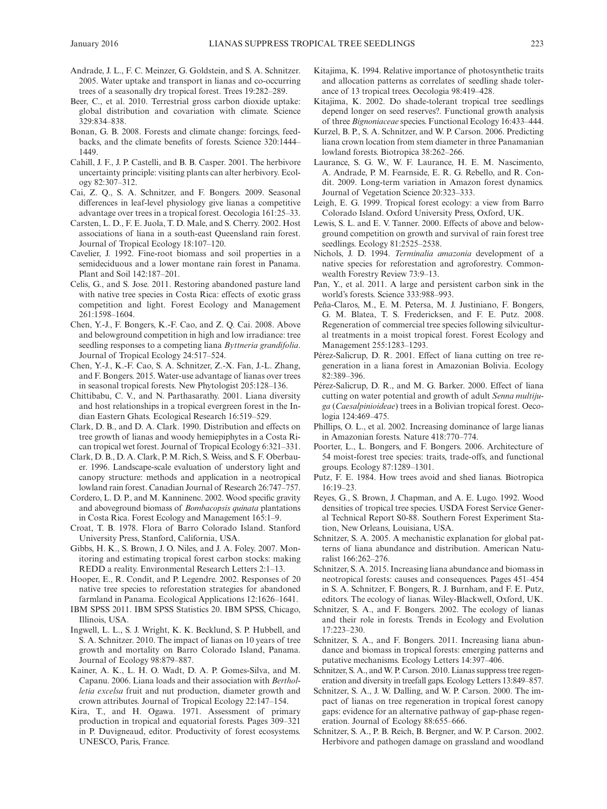- Andrade, J. L., F. C. Meinzer, G. Goldstein, and S. A. Schnitzer. 2005. Water uptake and transport in lianas and co-occurring trees of a seasonally dry tropical forest. Trees 19:282-289.
- Beer, C., et al. 2010. Terrestrial gross carbon dioxide uptake: global distribution and covariation with climate . Science 329:834-838.
- Bonan, G. B. 2008. Forests and climate change: forcings, feedbacks, and the climate benefits of forests. Science 320:1444– 1449 .
- Cahill, J. F., J. P. Castelli, and B. B. Casper. 2001. The herbivore uncertainty principle: visiting plants can alter herbivory . Ecology 82:307-312.
- Cai, Z. Q., S. A. Schnitzer, and F. Bongers. 2009. Seasonal differences in leaf-level physiology give lianas a competitive advantage over trees in a tropical forest. Oecologia 161:25–33.
- Carsten, L. D., F. E. Juola, T. D. Male, and S. Cherry. 2002. Host associations of liana in a south-east Queensland rain forest. Journal of Tropical Ecology 18:107-120.
- Cavelier, J. 1992. Fine-root biomass and soil properties in a semideciduous and a lower montane rain forest in Panama. Plant and Soil 142:187-201.
- Celis, G., and S. Jose. 2011. Restoring abandoned pasture land with native tree species in Costa Rica: effects of exotic grass competition and light. Forest Ecology and Management 261:1598-1604.
- Chen, Y.-J., F. Bongers, K.-F. Cao, and Z. Q. Cai. 2008. Above and belowground competition in high and low irradiance: tree seedling responses to a competing liana *Byttneria grandifolia* . Journal of Tropical Ecology 24:517-524.
- Chen, Y.-J., K.-F. Cao, S. A. Schnitzer, Z.-X. Fan, J.-L. Zhang, and F. Bongers. 2015. Water-use advantage of lianas over trees in seasonal tropical forests. New Phytologist 205:128-136.
- Chittibabu, C. V., and N. Parthasarathy. 2001. Liana diversity and host relationships in a tropical evergreen forest in the Indian Eastern Ghats. Ecological Research 16:519-529.
- Clark, D. B., and D. A. Clark. 1990. Distribution and effects on tree growth of lianas and woody hemiepiphytes in a Costa Rican tropical wet forest. Journal of Tropical Ecology 6:321–331.
- Clark, D. B., D. A. Clark, P. M. Rich, S. Weiss, and S. F. Oberbauer. 1996. Landscape-scale evaluation of understory light and canopy structure: methods and application in a neotropical lowland rain forest. Canadian Journal of Research 26:747-757.
- Cordero, L. D. P., and M. Kanninenc. 2002. Wood specific gravity and aboveground biomass of *Bombacopsis quinata* plantations in Costa Rica. Forest Ecology and Management 165:1-9.
- Croat, T. B. 1978. Flora of Barro Colorado Island. Stanford University Press, Stanford, California, USA.
- Gibbs, H. K., S. Brown, J. O. Niles, and J. A. Foley. 2007. Monitoring and estimating tropical forest carbon stocks: making REDD a reality. Environmental Research Letters 2:1-13.
- Hooper, E., R. Condit, and P. Legendre. 2002. Responses of 20 native tree species to reforestation strategies for abandoned farmland in Panama. Ecological Applications 12:1626-1641.
- IBM SPSS 2011. IBM SPSS Statistics 20. IBM SPSS, Chicago, Illinois, USA .
- Ingwell, L. L., S. J. Wright, K. K. Becklund, S. P. Hubbell, and S. A. Schnitzer. 2010. The impact of lianas on 10 years of tree growth and mortality on Barro Colorado Island, Panama . Journal of Ecology 98:879-887.
- Kainer, A. K., L. H. O. Wadt, D. A. P. Gomes-Silva, and M. Capanu . 2006 . Liana loads and their association with *Bertholletia excelsa* fruit and nut production, diameter growth and crown attributes. Journal of Tropical Ecology 22:147–154.
- Kira, T., and H. Ogawa. 1971. Assessment of primary production in tropical and equatorial forests. Pages 309-321 in P. Duvigneaud, editor. Productivity of forest ecosystems. UNESCO, Paris, France.
- Kitajima, K. 1994. Relative importance of photosynthetic traits and allocation patterns as correlates of seedling shade tolerance of 13 tropical trees. Oecologia 98:419-428.
- Kitajima, K. 2002. Do shade-tolerant tropical tree seedlings depend longer on seed reserves?. Functional growth analysis of three *Bignoniaceae* species . Functional Ecology 16 : 433 – 444 .
- Kurzel, B. P., S. A. Schnitzer, and W. P. Carson. 2006. Predicting liana crown location from stem diameter in three Panamanian lowland forests. Biotropica 38:262-266.
- Laurance, S. G. W., W. F. Laurance, H. E. M. Nascimento, A. Andrade, P. M. Fearnside, E. R. G. Rebello, and R. Condit. 2009. Long-term variation in Amazon forest dynamics. Journal of Vegetation Science 20:323-333.
- Leigh, E. G. 1999. Tropical forest ecology: a view from Barro Colorado Island. Oxford University Press, Oxford, UK.
- Lewis, S. L. and E. V. Tanner. 2000. Effects of above and belowground competition on growth and survival of rain forest tree seedlings. Ecology 81:2525-2538.
- Nichols, J. D. 1994. *Terminalia amazonia* development of a native species for reforestation and agroforestry . Commonwealth Forestry Review 73:9-13.
- Pan, Y., et al. 2011. A large and persistent carbon sink in the world's forests. Science 333:988-993.
- Peña-Claros, M., E. M. Petersa, M. J. Justiniano, F. Bongers, G. M. Blatea, T. S. Fredericksen, and F. E. Putz. 2008. Regeneration of commercial tree species following silvicultural treatments in a moist tropical forest . Forest Ecology and Management 255:1283-1293.
- Pérez-Salicrup, D. R. 2001. Effect of liana cutting on tree regeneration in a liana forest in Amazonian Bolivia . Ecology  $82.389 - 396$
- Pérez-Salicrup, D. R., and M. G. Barker. 2000. Effect of liana cutting on water potential and growth of adult *Senna multijuga* ( *Caesalpinioideae* ) trees in a Bolivian tropical forest . Oecologia 124:469-475.
- Phillips, O. L., et al. 2002. Increasing dominance of large lianas in Amazonian forests. Nature 418:770-774.
- Poorter, L., L. Bongers, and F. Bongers, 2006. Architecture of 54 moist-forest tree species: traits, trade-offs, and functional groups. Ecology 87:1289-1301.
- Putz, F. E. 1984. How trees avoid and shed lianas. Biotropica  $16:19 - 23.$
- Reyes, G., S. Brown, J. Chapman, and A. E. Lugo. 1992. Wood densities of tropical tree species . USDA Forest Service General Technical Report S0-88. Southern Forest Experiment Station, New Orleans, Louisiana, USA.
- Schnitzer, S. A. 2005. A mechanistic explanation for global patterns of liana abundance and distribution . American Naturalist  $166.262 - 276$
- Schnitzer, S. A. 2015. Increasing liana abundance and biomass in neotropical forests: causes and consequences. Pages 451-454 in S. A. Schnitzer, F. Bongers, R. J. Burnham, and F. E. Putz, editors. The ecology of lianas. Wiley-Blackwell, Oxford, UK.
- Schnitzer, S. A., and F. Bongers. 2002. The ecology of lianas and their role in forests . Trends in Ecology and Evolution  $17.223 - 230$
- Schnitzer, S. A., and F. Bongers. 2011. Increasing liana abundance and biomass in tropical forests: emerging patterns and putative mechanisms. Ecology Letters 14:397-406.
- Schnitzer, S. A., and W. P. Carson. 2010. Lianas suppress tree regeneration and diversity in treefall gaps. Ecology Letters 13:849-857.
- Schnitzer, S. A., J. W. Dalling, and W. P. Carson. 2000. The impact of lianas on tree regeneration in tropical forest canopy gaps: evidence for an alternative pathway of gap- phase regeneration. Journal of Ecology 88:655-666.
- Schnitzer, S. A., P. B. Reich, B. Bergner, and W. P. Carson. 2002. Herbivore and pathogen damage on grassland and woodland